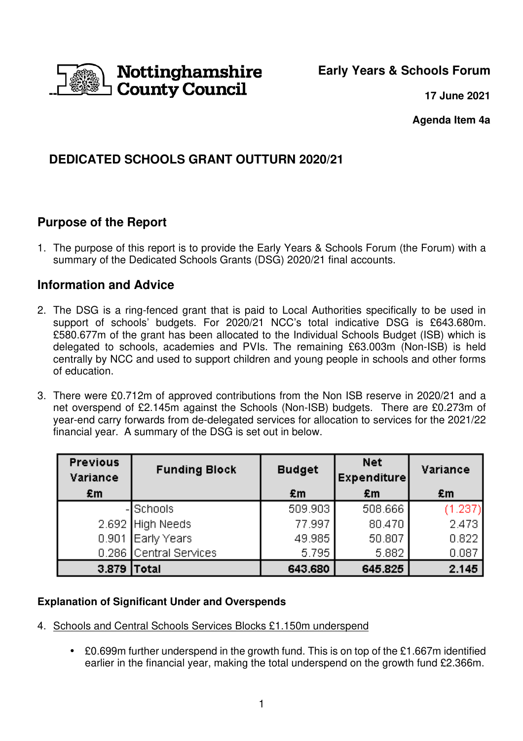

# **Early Years & Schools Forum**

**17 June 2021**

**Agenda Item 4a** 

# **DEDICATED SCHOOLS GRANT OUTTURN 2020/21**

## **Purpose of the Report**

1. The purpose of this report is to provide the Early Years & Schools Forum (the Forum) with a summary of the Dedicated Schools Grants (DSG) 2020/21 final accounts.

## **Information and Advice**

- 2. The DSG is a ring-fenced grant that is paid to Local Authorities specifically to be used in support of schools' budgets. For 2020/21 NCC's total indicative DSG is £643.680m. £580.677m of the grant has been allocated to the Individual Schools Budget (ISB) which is delegated to schools, academies and PVIs. The remaining £63.003m (Non-ISB) is held centrally by NCC and used to support children and young people in schools and other forms of education.
- 3. There were £0.712m of approved contributions from the Non ISB reserve in 2020/21 and a net overspend of £2.145m against the Schools (Non-ISB) budgets. There are £0.273m of year-end carry forwards from de-delegated services for allocation to services for the 2021/22 financial year. A summary of the DSG is set out in below.

| <b>Previous</b><br>Variance | <b>Funding Block</b>   | <b>Budget</b> | <b>Net</b><br><b>Expenditure</b> | Variance |
|-----------------------------|------------------------|---------------|----------------------------------|----------|
| £m                          |                        | £m            | £m                               | £m       |
|                             | -ISchools              | 509.903       | 508.666                          | (1.237)  |
|                             | 2.692 High Needs       | 77.997        | 80.470                           | 2.473    |
|                             | 0.901 Early Years      | 49.985        | 50.807                           | 0.822    |
|                             | 0.286 Central Services | 5.795         | 5.882                            | 0.087    |
| 3.879 Total                 |                        | 643.680       | 645.825                          | 2.145    |

### **Explanation of Significant Under and Overspends**

- 4. Schools and Central Schools Services Blocks £1.150m underspend
	- £0.699m further underspend in the growth fund. This is on top of the £1.667m identified earlier in the financial year, making the total underspend on the growth fund £2.366m.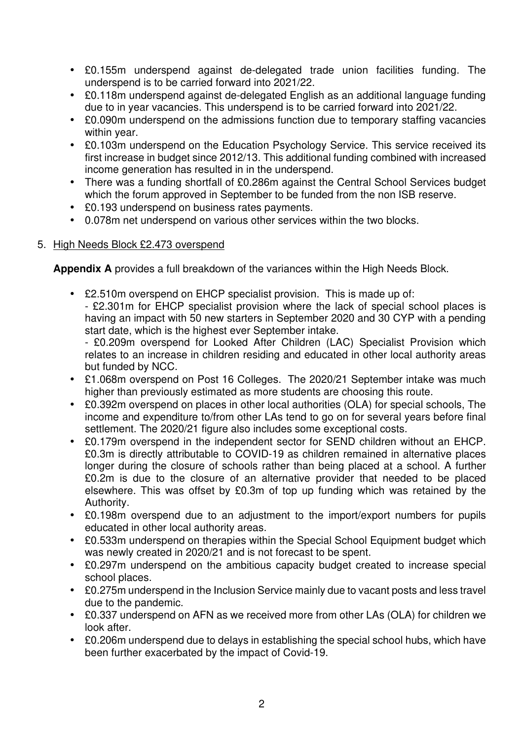- £0.155m underspend against de-delegated trade union facilities funding. The underspend is to be carried forward into 2021/22.
- £0.118m underspend against de-delegated English as an additional language funding due to in year vacancies. This underspend is to be carried forward into 2021/22.
- £0.090m underspend on the admissions function due to temporary staffing vacancies within year.
- £0.103m underspend on the Education Psychology Service. This service received its first increase in budget since 2012/13. This additional funding combined with increased income generation has resulted in in the underspend.
- There was a funding shortfall of £0.286m against the Central School Services budget which the forum approved in September to be funded from the non ISB reserve.
- £0.193 underspend on business rates payments.
- 0.078m net underspend on various other services within the two blocks.

### 5. High Needs Block £2.473 overspend

**Appendix A** provides a full breakdown of the variances within the High Needs Block.

• £2.510m overspend on EHCP specialist provision. This is made up of: - £2.301m for EHCP specialist provision where the lack of special school places is having an impact with 50 new starters in September 2020 and 30 CYP with a pending start date, which is the highest ever September intake.

- £0.209m overspend for Looked After Children (LAC) Specialist Provision which relates to an increase in children residing and educated in other local authority areas but funded by NCC.

- £1.068m overspend on Post 16 Colleges. The 2020/21 September intake was much higher than previously estimated as more students are choosing this route.
- £0.392m overspend on places in other local authorities (OLA) for special schools, The income and expenditure to/from other LAs tend to go on for several years before final settlement. The 2020/21 figure also includes some exceptional costs.
- £0.179m overspend in the independent sector for SEND children without an EHCP. £0.3m is directly attributable to COVID-19 as children remained in alternative places longer during the closure of schools rather than being placed at a school. A further £0.2m is due to the closure of an alternative provider that needed to be placed elsewhere. This was offset by £0.3m of top up funding which was retained by the Authority.
- £0.198m overspend due to an adjustment to the import/export numbers for pupils educated in other local authority areas.
- £0.533m underspend on therapies within the Special School Equipment budget which was newly created in 2020/21 and is not forecast to be spent.
- £0.297m underspend on the ambitious capacity budget created to increase special school places.
- £0.275m underspend in the Inclusion Service mainly due to vacant posts and less travel due to the pandemic.
- £0.337 underspend on AFN as we received more from other LAs (OLA) for children we look after.
- £0.206m underspend due to delays in establishing the special school hubs, which have been further exacerbated by the impact of Covid-19.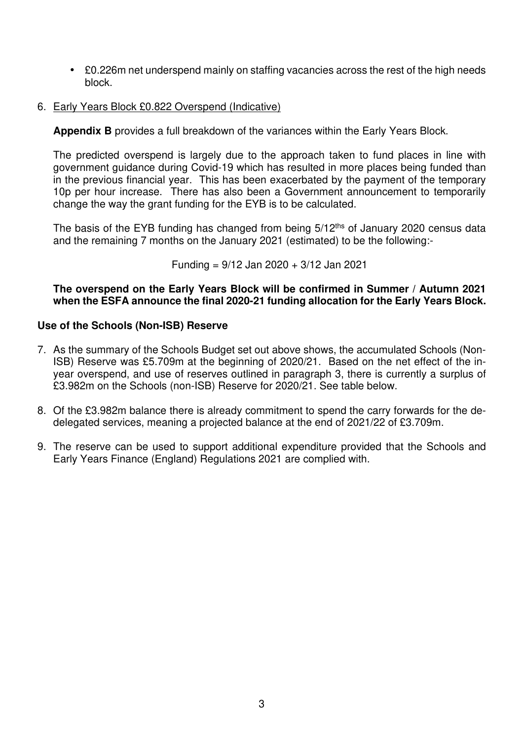- £0.226m net underspend mainly on staffing vacancies across the rest of the high needs block.
- 6. Early Years Block £0.822 Overspend (Indicative)

**Appendix B** provides a full breakdown of the variances within the Early Years Block.

The predicted overspend is largely due to the approach taken to fund places in line with government guidance during Covid-19 which has resulted in more places being funded than in the previous financial year. This has been exacerbated by the payment of the temporary 10p per hour increase. There has also been a Government announcement to temporarily change the way the grant funding for the EYB is to be calculated.

The basis of the EYB funding has changed from being 5/12<sup>ths</sup> of January 2020 census data and the remaining 7 months on the January 2021 (estimated) to be the following:-

Funding = 9/12 Jan 2020 + 3/12 Jan 2021

#### **The overspend on the Early Years Block will be confirmed in Summer / Autumn 2021 when the ESFA announce the final 2020-21 funding allocation for the Early Years Block.**

#### **Use of the Schools (Non-ISB) Reserve**

- 7. As the summary of the Schools Budget set out above shows, the accumulated Schools (Non-ISB) Reserve was £5.709m at the beginning of 2020/21. Based on the net effect of the inyear overspend, and use of reserves outlined in paragraph 3, there is currently a surplus of £3.982m on the Schools (non-ISB) Reserve for 2020/21. See table below.
- 8. Of the £3.982m balance there is already commitment to spend the carry forwards for the dedelegated services, meaning a projected balance at the end of 2021/22 of £3.709m.
- 9. The reserve can be used to support additional expenditure provided that the Schools and Early Years Finance (England) Regulations 2021 are complied with.